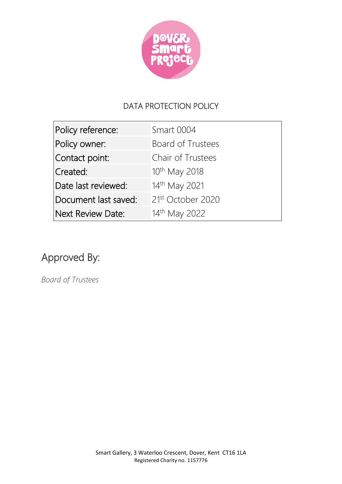

# DATA PROTECTION POLICY

| Policy reference:    | Smart 0004                    |
|----------------------|-------------------------------|
| Policy owner:        | Board of Trustees             |
| Contact point:       | Chair of Trustees             |
| Created:             | 10 <sup>th</sup> May 2018     |
| Date last reviewed:  | 14th May 2021                 |
| Document last saved: | 21 <sup>st</sup> October 2020 |
| Next Review Date:    | 14th May 2022                 |

# Approved By:

*Board of Trustees*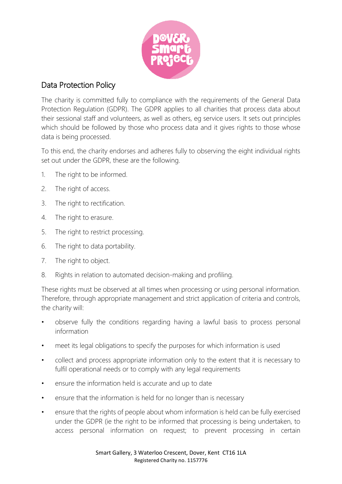

#### Data Protection Policy

The charity is committed fully to compliance with the requirements of the General Data Protection Regulation (GDPR). The GDPR applies to all charities that process data about their sessional staff and volunteers, as well as others, eg service users. It sets out principles which should be followed by those who process data and it gives rights to those whose data is being processed.

To this end, the charity endorses and adheres fully to observing the eight individual rights set out under the GDPR, these are the following.

- 1. The right to be informed.
- 2. The right of access.
- 3. The right to rectification.
- 4. The right to erasure.
- 5. The right to restrict processing.
- 6. The right to data portability.
- 7. The right to object.
- 8. Rights in relation to automated decision-making and profiling.

These rights must be observed at all times when processing or using personal information. Therefore, through appropriate management and strict application of criteria and controls, the charity will:

- observe fully the conditions regarding having a lawful basis to process personal information
- meet its legal obligations to specify the purposes for which information is used
- collect and process appropriate information only to the extent that it is necessary to fulfil operational needs or to comply with any legal requirements
- ensure the information held is accurate and up to date
- ensure that the information is held for no longer than is necessary
- ensure that the rights of people about whom information is held can be fully exercised under the GDPR (ie the right to be informed that processing is being undertaken, to access personal information on request; to prevent processing in certain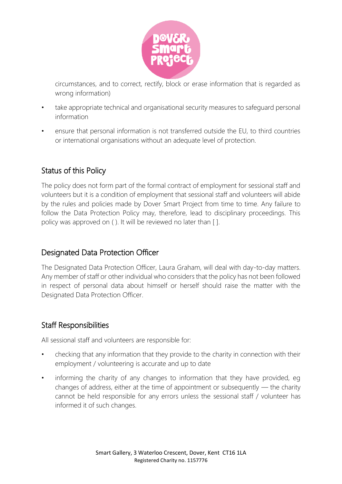

circumstances, and to correct, rectify, block or erase information that is regarded as wrong information)

- take appropriate technical and organisational security measures to safeguard personal information
- ensure that personal information is not transferred outside the EU, to third countries or international organisations without an adequate level of protection.

# Status of this Policy

The policy does not form part of the formal contract of employment for sessional staff and volunteers but it is a condition of employment that sessional staff and volunteers will abide by the rules and policies made by Dover Smart Project from time to time. Any failure to follow the Data Protection Policy may, therefore, lead to disciplinary proceedings. This policy was approved on ( ). It will be reviewed no later than [ ].

#### Designated Data Protection Officer

The Designated Data Protection Officer, Laura Graham, will deal with day-to-day matters. Any member of staff or other individual who considers that the policy has not been followed in respect of personal data about himself or herself should raise the matter with the Designated Data Protection Officer.

#### Staff Responsibilities

All sessional staff and volunteers are responsible for:

- checking that any information that they provide to the charity in connection with their employment / volunteering is accurate and up to date
- informing the charity of any changes to information that they have provided, eg changes of address, either at the time of appointment or subsequently — the charity cannot be held responsible for any errors unless the sessional staff / volunteer has informed it of such changes.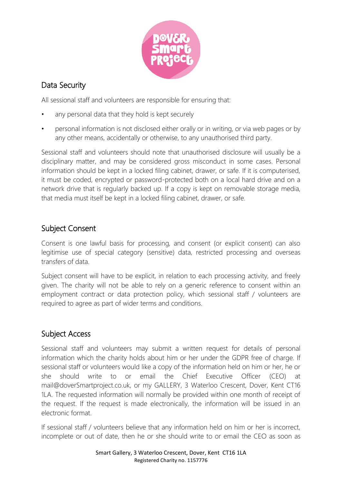

# Data Security

All sessional staff and volunteers are responsible for ensuring that:

- any personal data that they hold is kept securely
- personal information is not disclosed either orally or in writing, or via web pages or by any other means, accidentally or otherwise, to any unauthorised third party.

Sessional staff and volunteers should note that unauthorised disclosure will usually be a disciplinary matter, and may be considered gross misconduct in some cases. Personal information should be kept in a locked filing cabinet, drawer, or safe. If it is computerised, it must be coded, encrypted or password-protected both on a local hard drive and on a network drive that is regularly backed up. If a copy is kept on removable storage media, that media must itself be kept in a locked filing cabinet, drawer, or safe.

# Subject Consent

Consent is one lawful basis for processing, and consent (or explicit consent) can also legitimise use of special category (sensitive) data, restricted processing and overseas transfers of data.

Subject consent will have to be explicit, in relation to each processing activity, and freely given. The charity will not be able to rely on a generic reference to consent within an employment contract or data protection policy, which sessional staff / volunteers are required to agree as part of wider terms and conditions.

#### Subject Access

Sessional staff and volunteers may submit a written request for details of personal information which the charity holds about him or her under the GDPR free of charge. If sessional staff or volunteers would like a copy of the information held on him or her, he or she should write to or email the Chief Executive Officer (CEO) at mail@doverSmartproject.co.uk, or my GALLERY, 3 Waterloo Crescent, Dover, Kent CT16 1LA. The requested information will normally be provided within one month of receipt of the request. If the request is made electronically, the information will be issued in an electronic format.

If sessional staff / volunteers believe that any information held on him or her is incorrect, incomplete or out of date, then he or she should write to or email the CEO as soon as